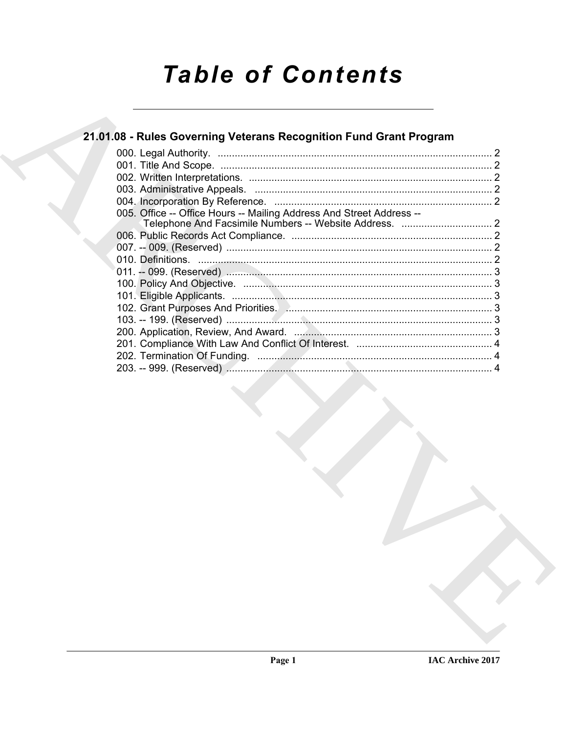# **Table of Contents**

# 21.01.08 - Rules Governing Veterans Recognition Fund Grant Program

| 005. Office -- Office Hours -- Mailing Address And Street Address -- |  |
|----------------------------------------------------------------------|--|
|                                                                      |  |
|                                                                      |  |
|                                                                      |  |
|                                                                      |  |
|                                                                      |  |
|                                                                      |  |
|                                                                      |  |
|                                                                      |  |
|                                                                      |  |
|                                                                      |  |
|                                                                      |  |
|                                                                      |  |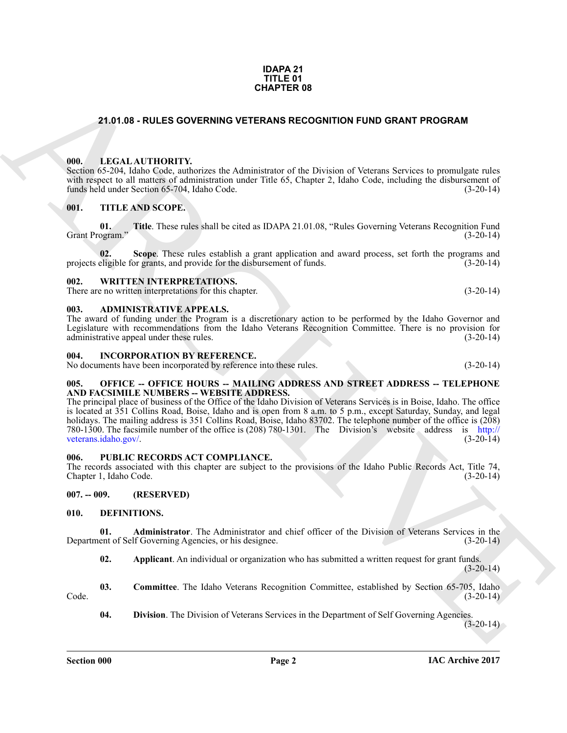#### **IDAPA 21 TITLE 01 CHAPTER 08**

# <span id="page-1-0"></span>**21.01.08 - RULES GOVERNING VETERANS RECOGNITION FUND GRANT PROGRAM**

### <span id="page-1-1"></span>**000. LEGAL AUTHORITY.**

Section 65-204, Idaho Code, authorizes the Administrator of the Division of Veterans Services to promulgate rules with respect to all matters of administration under Title 65, Chapter 2, Idaho Code, including the disbursement of funds held under Section 65-704, Idaho Code. funds held under Section 65-704, Idaho Code.

### <span id="page-1-2"></span>**001. TITLE AND SCOPE.**

**01.** Title. These rules shall be cited as IDAPA 21.01.08, "Rules Governing Veterans Recognition Fund ogram." (3-20-14) Grant Program."

**Scope**. These rules establish a grant application and award process, set forth the programs and provide for the disbursement of funds. (3-20-14) projects eligible for grants, and provide for the disbursement of funds.

#### <span id="page-1-3"></span>**002. WRITTEN INTERPRETATIONS.**

There are no written interpretations for this chapter. (3-20-14)

#### <span id="page-1-4"></span>**003. ADMINISTRATIVE APPEALS.**

The award of funding under the Program is a discretionary action to be performed by the Idaho Governor and Legislature with recommendations from the Idaho Veterans Recognition Committee. There is no provision for administrative appeal under these rules. (3-20-14) administrative appeal under these rules.

#### <span id="page-1-5"></span>**004. INCORPORATION BY REFERENCE.**

No documents have been incorporated by reference into these rules. (3-20-14)

#### <span id="page-1-6"></span>**005. OFFICE -- OFFICE HOURS -- MAILING ADDRESS AND STREET ADDRESS -- TELEPHONE AND FACSIMILE NUMBERS -- WEBSITE ADDRESS.**

**CHAPTER OF**<br> **CHAPTER OF CHAPTER OF CHAPTER OF CHAPTER OF CHAPTER OF CHAPTER OF CHAPTER OF CHAPTER CONTINUES (SEE THE SEE THE SEE THE SEE THE SEE THE SEE THE SEE THE SEE THE SEE THE SEE THE SEE THE SEE THE SEE THE SEE TH** The principal place of business of the Office of the Idaho Division of Veterans Services is in Boise, Idaho. The office is located at 351 Collins Road, Boise, Idaho and is open from 8 a.m. to 5 p.m., except Saturday, Sunday, and legal holidays. The mailing address is 351 Collins Road, Boise, Idaho 83702. The telephone number of the office is (208) 780-1300. The facsimile number of the office is (208) 780-1301. The Division's website address is http:// veterans.idaho.gov/. (3-20-14)

#### <span id="page-1-7"></span>**006. PUBLIC RECORDS ACT COMPLIANCE.**

The records associated with this chapter are subject to the provisions of the Idaho Public Records Act, Title 74, Chapter 1. Idaho Code. (3-20-14) Chapter 1, Idaho Code.

<span id="page-1-8"></span>**007. -- 009. (RESERVED)**

#### <span id="page-1-10"></span><span id="page-1-9"></span>**010. DEFINITIONS.**

**01. Administrator**. The Administrator and chief officer of the Division of Veterans Services in the ent of Self Governing Agencies, or his designee. (3-20-14) Department of Self Governing Agencies, or his designee.

<span id="page-1-13"></span><span id="page-1-12"></span><span id="page-1-11"></span>**02. Applicant**. An individual or organization who has submitted a written request for grant funds.  $(3-20-14)$ 

**03. Committee**. The Idaho Veterans Recognition Committee, established by Section 65-705, Idaho (3-20-14)  $\text{Code.} \tag{3-20-14}$ 

<span id="page-1-14"></span>**04. Division**. The Division of Veterans Services in the Department of Self Governing Agencies.

 $(3-20-14)$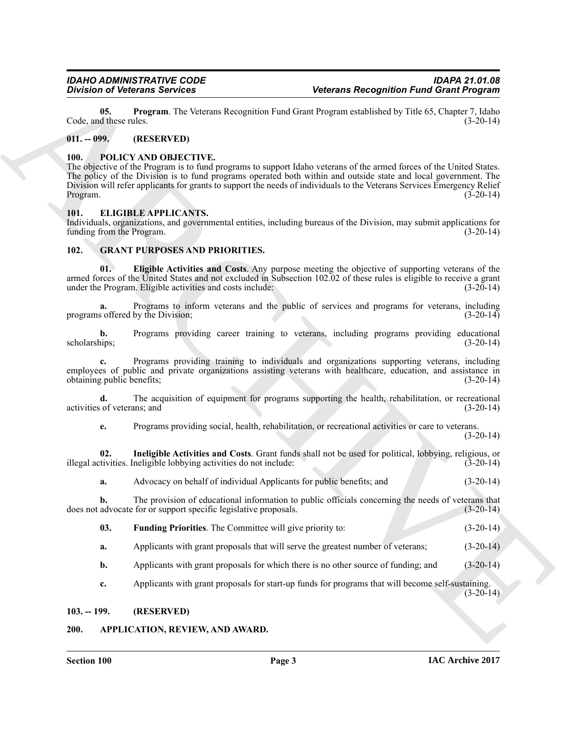<span id="page-2-7"></span>**05. Program**. The Veterans Recognition Fund Grant Program established by Title 65, Chapter 7, Idaho d these rules. (3-20-14) Code, and these rules.

### <span id="page-2-0"></span>**011. -- 099. (RESERVED)**

#### <span id="page-2-13"></span><span id="page-2-1"></span>**100. POLICY AND OBJECTIVE.**

Division's Bernard Services<br>
US, the state and the victima level and the interaction of the state of the state and the state of the state of the state<br>
US, the state of the SERVING (US) (The state of the state of the stat The objective of the Program is to fund programs to support Idaho veterans of the armed forces of the United States. The policy of the Division is to fund programs operated both within and outside state and local government. The Division will refer applicants for grants to support the needs of individuals to the Veterans Services Emergency Relief Program. (3-20-14)

### <span id="page-2-8"></span><span id="page-2-2"></span>**101. ELIGIBLE APPLICANTS.**

Individuals, organizations, and governmental entities, including bureaus of the Division, may submit applications for funding from the Program.

# <span id="page-2-9"></span><span id="page-2-3"></span>**102. GRANT PURPOSES AND PRIORITIES.**

<span id="page-2-10"></span>**01. Eligible Activities and Costs**. Any purpose meeting the objective of supporting veterans of the armed forces of the United States and not excluded in Subsection 102.02 of these rules is eligible to receive a grant under the Program. Eligible activities and costs include:  $(3-20-14)$ 

**a.** Programs to inform veterans and the public of services and programs for veterans, including s offered by the Division:  $(3-20-14)$ programs offered by the Division;

**b.** Programs providing career training to veterans, including programs providing educational scholarships: (3-20-14) scholarships; (3-20-14)

**c.** Programs providing training to individuals and organizations supporting veterans, including employees of public and private organizations assisting veterans with healthcare, education, and assistance in obtaining public benefits; (3-20-14) obtaining public benefits;

**d.** The acquisition of equipment for programs supporting the health, rehabilitation, or recreational of veterans; and (3-20-14) activities of veterans; and

<span id="page-2-12"></span>**e.** Programs providing social, health, rehabilitation, or recreational activities or care to veterans.  $(3-20-14)$ 

**02.** Ineligible Activities and Costs. Grant funds shall not be used for political, lobbying, religious, or tivities. Ineligible lobbying activities do not include: (3-20-14) illegal activities. Ineligible lobbying activities do not include:

**a.** Advocacy on behalf of individual Applicants for public benefits; and (3-20-14)

**b.** The provision of educational information to public officials concerning the needs of veterans that advocate for or support specific legislative proposals. (3-20-14) does not advocate for or support specific legislative proposals.

- <span id="page-2-11"></span>**03. Funding Priorities**. The Committee will give priority to: (3-20-14)
- **a.** Applicants with grant proposals that will serve the greatest number of veterans;  $(3-20-14)$
- **b.** Applicants with grant proposals for which there is no other source of funding; and  $(3-20-14)$

**c.** Applicants with grant proposals for start-up funds for programs that will become self-sustaining.

 $(3-20-14)$ 

### <span id="page-2-6"></span><span id="page-2-4"></span>**103. -- 199. (RESERVED)**

# <span id="page-2-5"></span>**200. APPLICATION, REVIEW, AND AWARD.**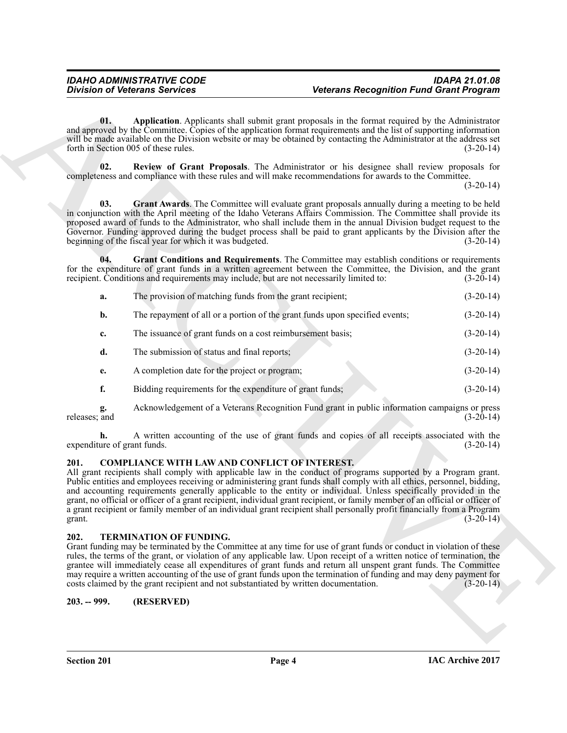<span id="page-3-6"></span><span id="page-3-5"></span><span id="page-3-4"></span><span id="page-3-3"></span>

| Application. Applicants shall submit grant proposals in the format required by the Administrator<br>01.<br>and approved by the Committee. Copies of the application format requirements and the list of supporting information<br>will be made available on the Division website or may be obtained by contacting the Administrator at the address set<br>forth in Section 005 of these rules.<br>$(3-20-14)$<br>02.<br>Review of Grant Proposals. The Administrator or his designee shall review proposals for<br>completeness and compliance with these rules and will make recommendations for awards to the Committee.<br>$(3-20-14)$<br>Grant Awards. The Committee will evaluate grant proposals annually during a meeting to be held<br>03.<br>in conjunction with the April meeting of the Idaho Veterans Affairs Commission. The Committee shall provide its<br>proposed award of funds to the Administrator, who shall include them in the annual Division budget request to the<br>Governor. Funding approved during the budget process shall be paid to grant applicants by the Division after the<br>beginning of the fiscal year for which it was budgeted.<br>$(3-20-14)$<br>Grant Conditions and Requirements. The Committee may establish conditions or requirements<br>04.<br>for the expenditure of grant funds in a written agreement between the Committee, the Division, and the grant<br>recipient. Conditions and requirements may include, but are not necessarily limited to:<br>$(3-20-14)$<br>The provision of matching funds from the grant recipient;<br>$(3-20-14)$<br>a.<br>The repayment of all or a portion of the grant funds upon specified events;<br>$(3-20-14)$<br>b.<br>The issuance of grant funds on a cost reimbursement basis;<br>$(3-20-14)$<br>c.<br>d.<br>The submission of status and final reports;<br>$(3-20-14)$<br>A completion date for the project or program;<br>$(3-20-14)$<br>e.<br>f.<br>Bidding requirements for the expenditure of grant funds;<br>$(3-20-14)$<br>Acknowledgement of a Veterans Recognition Fund grant in public information campaigns or press<br>g.<br>releases; and<br>$(3-20-14)$<br>A written accounting of the use of grant funds and copies of all receipts associated with the<br>expenditure of grant funds.<br>$(3-20-14)$<br><b>COMPLIANCE WITH LAW AND CONFLICT OF INTEREST.</b><br>201.<br>All grant recipients shall comply with applicable law in the conduct of programs supported by a Program grant.<br>Public entities and employees receiving or administering grant funds shall comply with all ethics, personnel, bidding,<br>and accounting requirements generally applicable to the entity or individual. Unless specifically provided in the<br>grant, no official or officer of a grant recipient, individual grant recipient, or family member of an official or officer of<br>a grant recipient or family member of an individual grant recipient shall personally profit financially from a Program<br>$(3-20-14)$<br>grant.<br>202.<br>TERMINATION OF FUNDING.<br>Grant funding may be terminated by the Committee at any time for use of grant funds or conduct in violation of these<br>rules, the terms of the grant, or violation of any applicable law. Upon receipt of a written notice of termination, the<br>grantee will immediately cease all expenditures of grant funds and return all unspent grant funds. The Committee<br>may require a written accounting of the use of grant funds upon the termination of funding and may deny payment for<br>costs claimed by the grant recipient and not substantiated by written documentation.<br>$(3-20-14)$<br>$203. - 999.$<br>(RESERVED) |  | <b>Division of Veterans Services</b> | <b>Veterans Recognition Fund Grant Program</b> |  |
|--------------------------------------------------------------------------------------------------------------------------------------------------------------------------------------------------------------------------------------------------------------------------------------------------------------------------------------------------------------------------------------------------------------------------------------------------------------------------------------------------------------------------------------------------------------------------------------------------------------------------------------------------------------------------------------------------------------------------------------------------------------------------------------------------------------------------------------------------------------------------------------------------------------------------------------------------------------------------------------------------------------------------------------------------------------------------------------------------------------------------------------------------------------------------------------------------------------------------------------------------------------------------------------------------------------------------------------------------------------------------------------------------------------------------------------------------------------------------------------------------------------------------------------------------------------------------------------------------------------------------------------------------------------------------------------------------------------------------------------------------------------------------------------------------------------------------------------------------------------------------------------------------------------------------------------------------------------------------------------------------------------------------------------------------------------------------------------------------------------------------------------------------------------------------------------------------------------------------------------------------------------------------------------------------------------------------------------------------------------------------------------------------------------------------------------------------------------------------------------------------------------------------------------------------------------------------------------------------------------------------------------------------------------------------------------------------------------------------------------------------------------------------------------------------------------------------------------------------------------------------------------------------------------------------------------------------------------------------------------------------------------------------------------------------------------------------------------------------------------------------------------------------------------------------------------------------------------------------------------------------------------------------------------------------------------------------------------------------------------------------------------------------------------------------------------------------------------------------------------------------------------------------------------------------------------------------------------------------------------------------------------------------------------------------------------------------------------|--|--------------------------------------|------------------------------------------------|--|
|                                                                                                                                                                                                                                                                                                                                                                                                                                                                                                                                                                                                                                                                                                                                                                                                                                                                                                                                                                                                                                                                                                                                                                                                                                                                                                                                                                                                                                                                                                                                                                                                                                                                                                                                                                                                                                                                                                                                                                                                                                                                                                                                                                                                                                                                                                                                                                                                                                                                                                                                                                                                                                                                                                                                                                                                                                                                                                                                                                                                                                                                                                                                                                                                                                                                                                                                                                                                                                                                                                                                                                                                                                                                                                              |  |                                      |                                                |  |
|                                                                                                                                                                                                                                                                                                                                                                                                                                                                                                                                                                                                                                                                                                                                                                                                                                                                                                                                                                                                                                                                                                                                                                                                                                                                                                                                                                                                                                                                                                                                                                                                                                                                                                                                                                                                                                                                                                                                                                                                                                                                                                                                                                                                                                                                                                                                                                                                                                                                                                                                                                                                                                                                                                                                                                                                                                                                                                                                                                                                                                                                                                                                                                                                                                                                                                                                                                                                                                                                                                                                                                                                                                                                                                              |  |                                      |                                                |  |
|                                                                                                                                                                                                                                                                                                                                                                                                                                                                                                                                                                                                                                                                                                                                                                                                                                                                                                                                                                                                                                                                                                                                                                                                                                                                                                                                                                                                                                                                                                                                                                                                                                                                                                                                                                                                                                                                                                                                                                                                                                                                                                                                                                                                                                                                                                                                                                                                                                                                                                                                                                                                                                                                                                                                                                                                                                                                                                                                                                                                                                                                                                                                                                                                                                                                                                                                                                                                                                                                                                                                                                                                                                                                                                              |  |                                      |                                                |  |
|                                                                                                                                                                                                                                                                                                                                                                                                                                                                                                                                                                                                                                                                                                                                                                                                                                                                                                                                                                                                                                                                                                                                                                                                                                                                                                                                                                                                                                                                                                                                                                                                                                                                                                                                                                                                                                                                                                                                                                                                                                                                                                                                                                                                                                                                                                                                                                                                                                                                                                                                                                                                                                                                                                                                                                                                                                                                                                                                                                                                                                                                                                                                                                                                                                                                                                                                                                                                                                                                                                                                                                                                                                                                                                              |  |                                      |                                                |  |
|                                                                                                                                                                                                                                                                                                                                                                                                                                                                                                                                                                                                                                                                                                                                                                                                                                                                                                                                                                                                                                                                                                                                                                                                                                                                                                                                                                                                                                                                                                                                                                                                                                                                                                                                                                                                                                                                                                                                                                                                                                                                                                                                                                                                                                                                                                                                                                                                                                                                                                                                                                                                                                                                                                                                                                                                                                                                                                                                                                                                                                                                                                                                                                                                                                                                                                                                                                                                                                                                                                                                                                                                                                                                                                              |  |                                      |                                                |  |
|                                                                                                                                                                                                                                                                                                                                                                                                                                                                                                                                                                                                                                                                                                                                                                                                                                                                                                                                                                                                                                                                                                                                                                                                                                                                                                                                                                                                                                                                                                                                                                                                                                                                                                                                                                                                                                                                                                                                                                                                                                                                                                                                                                                                                                                                                                                                                                                                                                                                                                                                                                                                                                                                                                                                                                                                                                                                                                                                                                                                                                                                                                                                                                                                                                                                                                                                                                                                                                                                                                                                                                                                                                                                                                              |  |                                      |                                                |  |
|                                                                                                                                                                                                                                                                                                                                                                                                                                                                                                                                                                                                                                                                                                                                                                                                                                                                                                                                                                                                                                                                                                                                                                                                                                                                                                                                                                                                                                                                                                                                                                                                                                                                                                                                                                                                                                                                                                                                                                                                                                                                                                                                                                                                                                                                                                                                                                                                                                                                                                                                                                                                                                                                                                                                                                                                                                                                                                                                                                                                                                                                                                                                                                                                                                                                                                                                                                                                                                                                                                                                                                                                                                                                                                              |  |                                      |                                                |  |
|                                                                                                                                                                                                                                                                                                                                                                                                                                                                                                                                                                                                                                                                                                                                                                                                                                                                                                                                                                                                                                                                                                                                                                                                                                                                                                                                                                                                                                                                                                                                                                                                                                                                                                                                                                                                                                                                                                                                                                                                                                                                                                                                                                                                                                                                                                                                                                                                                                                                                                                                                                                                                                                                                                                                                                                                                                                                                                                                                                                                                                                                                                                                                                                                                                                                                                                                                                                                                                                                                                                                                                                                                                                                                                              |  |                                      |                                                |  |
|                                                                                                                                                                                                                                                                                                                                                                                                                                                                                                                                                                                                                                                                                                                                                                                                                                                                                                                                                                                                                                                                                                                                                                                                                                                                                                                                                                                                                                                                                                                                                                                                                                                                                                                                                                                                                                                                                                                                                                                                                                                                                                                                                                                                                                                                                                                                                                                                                                                                                                                                                                                                                                                                                                                                                                                                                                                                                                                                                                                                                                                                                                                                                                                                                                                                                                                                                                                                                                                                                                                                                                                                                                                                                                              |  |                                      |                                                |  |
|                                                                                                                                                                                                                                                                                                                                                                                                                                                                                                                                                                                                                                                                                                                                                                                                                                                                                                                                                                                                                                                                                                                                                                                                                                                                                                                                                                                                                                                                                                                                                                                                                                                                                                                                                                                                                                                                                                                                                                                                                                                                                                                                                                                                                                                                                                                                                                                                                                                                                                                                                                                                                                                                                                                                                                                                                                                                                                                                                                                                                                                                                                                                                                                                                                                                                                                                                                                                                                                                                                                                                                                                                                                                                                              |  |                                      |                                                |  |
|                                                                                                                                                                                                                                                                                                                                                                                                                                                                                                                                                                                                                                                                                                                                                                                                                                                                                                                                                                                                                                                                                                                                                                                                                                                                                                                                                                                                                                                                                                                                                                                                                                                                                                                                                                                                                                                                                                                                                                                                                                                                                                                                                                                                                                                                                                                                                                                                                                                                                                                                                                                                                                                                                                                                                                                                                                                                                                                                                                                                                                                                                                                                                                                                                                                                                                                                                                                                                                                                                                                                                                                                                                                                                                              |  |                                      |                                                |  |
|                                                                                                                                                                                                                                                                                                                                                                                                                                                                                                                                                                                                                                                                                                                                                                                                                                                                                                                                                                                                                                                                                                                                                                                                                                                                                                                                                                                                                                                                                                                                                                                                                                                                                                                                                                                                                                                                                                                                                                                                                                                                                                                                                                                                                                                                                                                                                                                                                                                                                                                                                                                                                                                                                                                                                                                                                                                                                                                                                                                                                                                                                                                                                                                                                                                                                                                                                                                                                                                                                                                                                                                                                                                                                                              |  |                                      |                                                |  |
|                                                                                                                                                                                                                                                                                                                                                                                                                                                                                                                                                                                                                                                                                                                                                                                                                                                                                                                                                                                                                                                                                                                                                                                                                                                                                                                                                                                                                                                                                                                                                                                                                                                                                                                                                                                                                                                                                                                                                                                                                                                                                                                                                                                                                                                                                                                                                                                                                                                                                                                                                                                                                                                                                                                                                                                                                                                                                                                                                                                                                                                                                                                                                                                                                                                                                                                                                                                                                                                                                                                                                                                                                                                                                                              |  |                                      |                                                |  |
|                                                                                                                                                                                                                                                                                                                                                                                                                                                                                                                                                                                                                                                                                                                                                                                                                                                                                                                                                                                                                                                                                                                                                                                                                                                                                                                                                                                                                                                                                                                                                                                                                                                                                                                                                                                                                                                                                                                                                                                                                                                                                                                                                                                                                                                                                                                                                                                                                                                                                                                                                                                                                                                                                                                                                                                                                                                                                                                                                                                                                                                                                                                                                                                                                                                                                                                                                                                                                                                                                                                                                                                                                                                                                                              |  |                                      |                                                |  |
|                                                                                                                                                                                                                                                                                                                                                                                                                                                                                                                                                                                                                                                                                                                                                                                                                                                                                                                                                                                                                                                                                                                                                                                                                                                                                                                                                                                                                                                                                                                                                                                                                                                                                                                                                                                                                                                                                                                                                                                                                                                                                                                                                                                                                                                                                                                                                                                                                                                                                                                                                                                                                                                                                                                                                                                                                                                                                                                                                                                                                                                                                                                                                                                                                                                                                                                                                                                                                                                                                                                                                                                                                                                                                                              |  |                                      |                                                |  |
|                                                                                                                                                                                                                                                                                                                                                                                                                                                                                                                                                                                                                                                                                                                                                                                                                                                                                                                                                                                                                                                                                                                                                                                                                                                                                                                                                                                                                                                                                                                                                                                                                                                                                                                                                                                                                                                                                                                                                                                                                                                                                                                                                                                                                                                                                                                                                                                                                                                                                                                                                                                                                                                                                                                                                                                                                                                                                                                                                                                                                                                                                                                                                                                                                                                                                                                                                                                                                                                                                                                                                                                                                                                                                                              |  |                                      |                                                |  |

# <span id="page-3-7"></span><span id="page-3-0"></span>**201. COMPLIANCE WITH LAW AND CONFLICT OF INTEREST.**

# <span id="page-3-8"></span><span id="page-3-1"></span>**202. TERMINATION OF FUNDING.**

# <span id="page-3-2"></span>**203. -- 999. (RESERVED)**